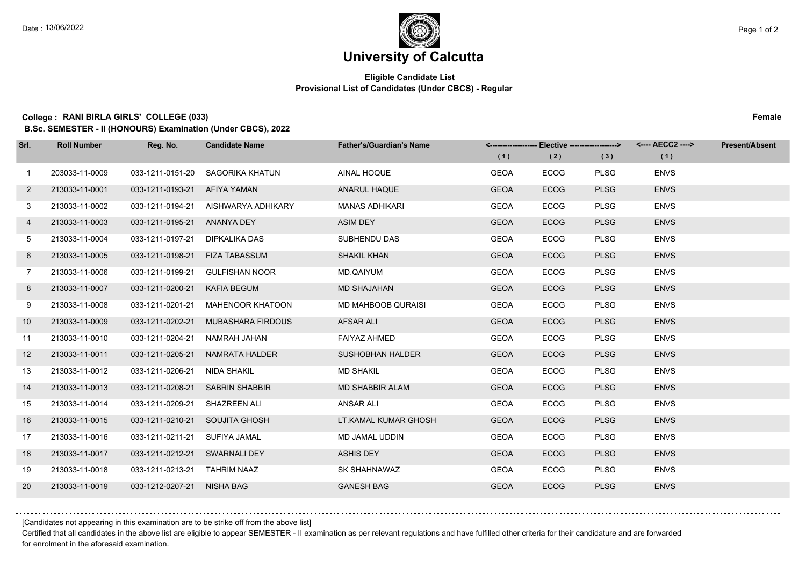## **University of Calcutta**

### **Eligible Candidate List Provisional List of Candidates (Under CBCS) - Regular**

#### **College : RANI BIRLA GIRLS' COLLEGE (033) Female**

**B.Sc. SEMESTER - II (HONOURS) Examination (Under CBCS), 2022**

| Srl.            | <b>Roll Number</b> | Reg. No.                      | <b>Candidate Name</b> | <b>Father's/Guardian's Name</b> | (1)         | (2)         | <-------------------- Elective ------------------> <---- AECC2 ----><br>(3) | (1)         | Present/Absent |
|-----------------|--------------------|-------------------------------|-----------------------|---------------------------------|-------------|-------------|-----------------------------------------------------------------------------|-------------|----------------|
| $\mathbf{1}$    | 203033-11-0009     | 033-1211-0151-20              | SAGORIKA KHATUN       | AINAL HOQUE                     | <b>GEOA</b> | <b>ECOG</b> | <b>PLSG</b>                                                                 | <b>ENVS</b> |                |
| $2^{\circ}$     | 213033-11-0001     | 033-1211-0193-21              | AFIYA YAMAN           | ANARUL HAQUE                    | <b>GEOA</b> | <b>ECOG</b> | <b>PLSG</b>                                                                 | <b>ENVS</b> |                |
| 3               | 213033-11-0002     | 033-1211-0194-21              | AISHWARYA ADHIKARY    | <b>MANAS ADHIKARI</b>           | <b>GEOA</b> | <b>ECOG</b> | <b>PLSG</b>                                                                 | <b>ENVS</b> |                |
| 4               | 213033-11-0003     | 033-1211-0195-21 ANANYA DEY   |                       | ASIM DEY                        | <b>GEOA</b> | <b>ECOG</b> | <b>PLSG</b>                                                                 | <b>ENVS</b> |                |
| 5 <sup>5</sup>  | 213033-11-0004     | 033-1211-0197-21              | DIPKALIKA DAS         | SUBHENDU DAS                    | <b>GEOA</b> | <b>ECOG</b> | <b>PLSG</b>                                                                 | <b>ENVS</b> |                |
| 6               | 213033-11-0005     | 033-1211-0198-21              | <b>FIZA TABASSUM</b>  | <b>SHAKIL KHAN</b>              | <b>GEOA</b> | <b>ECOG</b> | <b>PLSG</b>                                                                 | <b>ENVS</b> |                |
| $7^{\circ}$     | 213033-11-0006     | 033-1211-0199-21              | <b>GULFISHAN NOOR</b> | MD.QAIYUM                       | <b>GEOA</b> | <b>ECOG</b> | <b>PLSG</b>                                                                 | <b>ENVS</b> |                |
| 8               | 213033-11-0007     | 033-1211-0200-21              | KAFIA BEGUM           | <b>MD SHAJAHAN</b>              | <b>GEOA</b> | <b>ECOG</b> | <b>PLSG</b>                                                                 | <b>ENVS</b> |                |
| 9               | 213033-11-0008     | 033-1211-0201-21              | MAHENOOR KHATOON      | <b>MD MAHBOOB QURAISI</b>       | <b>GEOA</b> | <b>ECOG</b> | <b>PLSG</b>                                                                 | <b>ENVS</b> |                |
| 10 <sup>°</sup> | 213033-11-0009     | 033-1211-0202-21              | MUBASHARA FIRDOUS     | AFSAR ALI                       | <b>GEOA</b> | <b>ECOG</b> | <b>PLSG</b>                                                                 | <b>ENVS</b> |                |
| 11              | 213033-11-0010     | 033-1211-0204-21              | NAMRAH JAHAN          | FAIYAZ AHMED                    | <b>GEOA</b> | <b>ECOG</b> | <b>PLSG</b>                                                                 | <b>ENVS</b> |                |
| 12              | 213033-11-0011     | 033-1211-0205-21              | NAMRATA HALDER        | <b>SUSHOBHAN HALDER</b>         | <b>GEOA</b> | <b>ECOG</b> | <b>PLSG</b>                                                                 | <b>ENVS</b> |                |
| 13              | 213033-11-0012     | 033-1211-0206-21              | NIDA SHAKIL           | <b>MD SHAKIL</b>                | <b>GEOA</b> | <b>ECOG</b> | <b>PLSG</b>                                                                 | <b>ENVS</b> |                |
| 14              | 213033-11-0013     | 033-1211-0208-21              | <b>SABRIN SHABBIR</b> | <b>MD SHABBIR ALAM</b>          | <b>GEOA</b> | <b>ECOG</b> | <b>PLSG</b>                                                                 | <b>ENVS</b> |                |
| 15              | 213033-11-0014     | 033-1211-0209-21              | SHAZREEN ALI          | ANSAR ALI                       | <b>GEOA</b> | <b>ECOG</b> | <b>PLSG</b>                                                                 | <b>ENVS</b> |                |
| 16              | 213033-11-0015     | 033-1211-0210-21              | <b>SOUJITA GHOSH</b>  | LT.KAMAL KUMAR GHOSH            | <b>GEOA</b> | <b>ECOG</b> | <b>PLSG</b>                                                                 | <b>ENVS</b> |                |
| 17              | 213033-11-0016     | 033-1211-0211-21              | SUFIYA JAMAL          | MD JAMAL UDDIN                  | <b>GEOA</b> | <b>ECOG</b> | <b>PLSG</b>                                                                 | <b>ENVS</b> |                |
| 18              | 213033-11-0017     | 033-1211-0212-21 SWARNALI DEY |                       | <b>ASHIS DEY</b>                | <b>GEOA</b> | <b>ECOG</b> | <b>PLSG</b>                                                                 | <b>ENVS</b> |                |
| 19              | 213033-11-0018     | 033-1211-0213-21 TAHRIM NAAZ  |                       | SK SHAHNAWAZ                    | <b>GEOA</b> | <b>ECOG</b> | <b>PLSG</b>                                                                 | <b>ENVS</b> |                |
| 20              | 213033-11-0019     | 033-1212-0207-21 NISHA BAG    |                       | <b>GANESH BAG</b>               | <b>GEOA</b> | <b>ECOG</b> | <b>PLSG</b>                                                                 | <b>ENVS</b> |                |

[Candidates not appearing in this examination are to be strike off from the above list]

Certified that all candidates in the above list are eligible to appear SEMESTER - II examination as per relevant regulations and have fulfilled other criteria for their candidature and are forwarded for enrolment in the aforesaid examination.